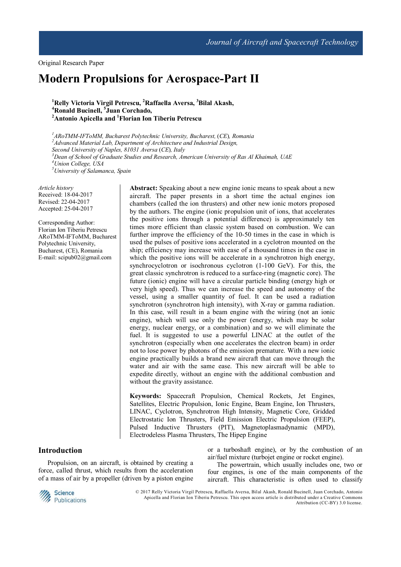Original Research Paper

# **Modern Propulsions for Aerospace-Part II**

**<sup>1</sup>Relly Victoria Virgil Petrescu, <sup>2</sup>Raffaella Aversa, <sup>3</sup>Bilal Akash, <sup>4</sup>Ronald Bucinell, <sup>5</sup> Juan Corchado, <sup>2</sup>Antonio Apicella and <sup>1</sup>Florian Ion Tiberiu Petrescu**

*ARoTMM-IFToMM, Bucharest Polytechnic University, Bucharest,* (*CE*)*, Romania Advanced Material Lab, Department of Architecture and Industrial Design, Second University of Naples, 81031 Aversa* (*CE*)*, Italy Dean of School of Graduate Studies and Research, American University of Ras Al Khaimah, UAE Union College, USA University of Salamanca, Spain* 

*Article history* Received: 18-04-2017 Revised: 22-04-2017 Accepted: 25-04-2017

Corresponding Author: Florian Ion Tiberiu Petrescu ARoTMM-IFToMM, Bucharest Polytechnic University, Bucharest, (CE), Romania E-mail: scipub02@gmail.com

**Abstract:** Speaking about a new engine ionic means to speak about a new aircraft. The paper presents in a short time the actual engines ion chambers (called the ion thrusters) and other new ionic motors proposed by the authors. The engine (ionic propulsion unit of ions, that accelerates the positive ions through a potential difference) is approximately ten times more efficient than classic system based on combustion. We can further improve the efficiency of the 10-50 times in the case in which is used the pulses of positive ions accelerated in a cyclotron mounted on the ship; efficiency may increase with ease of a thousand times in the case in which the positive ions will be accelerate in a synchrotron high energy, synchrocyclotron or isochronous cyclotron (1-100 GeV). For this, the great classic synchrotron is reduced to a surface-ring (magnetic core). The future (ionic) engine will have a circular particle binding (energy high or very high speed). Thus we can increase the speed and autonomy of the vessel, using a smaller quantity of fuel. It can be used a radiation synchrotron (synchrotron high intensity), with X-ray or gamma radiation. In this case, will result in a beam engine with the wiring (not an ionic engine), which will use only the power (energy, which may be solar energy, nuclear energy, or a combination) and so we will eliminate the fuel. It is suggested to use a powerful LINAC at the outlet of the synchrotron (especially when one accelerates the electron beam) in order not to lose power by photons of the emission premature. With a new ionic engine practically builds a brand new aircraft that can move through the water and air with the same ease. This new aircraft will be able to expedite directly, without an engine with the additional combustion and without the gravity assistance.

**Keywords:** Spacecraft Propulsion, Chemical Rockets, Jet Engines, Satellites, Electric Propulsion, Ionic Engine, Beam Engine, Ion Thrusters, LINAC, Cyclotron, Synchrotron High Intensity, Magnetic Core, Gridded Electrostatic Ion Thrusters, Field Emission Electric Propulsion (FEEP), Pulsed Inductive Thrusters (PIT), Magnetoplasmadynamic (MPD), Electrodeless Plasma Thrusters, The Hipep Engine

# **Introduction**

Propulsion, on an aircraft, is obtained by creating a force, called thrust, which results from the acceleration of a mass of air by a propeller (driven by a piston engine or a turboshaft engine), or by the combustion of an air/fuel mixture (turbojet engine or rocket engine).

The powertrain, which usually includes one, two or four engines, is one of the main components of the aircraft. This characteristic is often used to classify



 © 2017 Relly Victoria Virgil Petrescu, Raffaella Aversa, Bilal Akash, Ronald Bucinell, Juan Corchado, Antonio Apicella and Florian Ion Tiberiu Petrescu. This open access article is distributed under a Creative Commons Attribution (CC-BY) 3.0 license.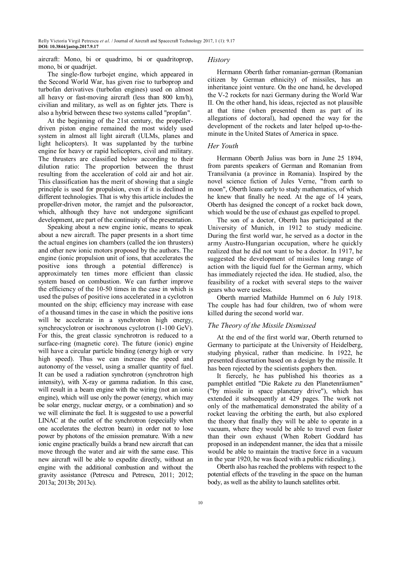aircraft: Mono, bi or quadrimo, bi or quadritoprop, mono, bi or quadrijet.

The single-flow turbojet engine, which appeared in the Second World War, has given rise to turboprop and turbofan derivatives (turbofan engines) used on almost all heavy or fast-moving aircraft (less than 800 km/h), civilian and military, as well as on fighter jets. There is also a hybrid between these two systems called "propfan".

At the beginning of the 21st century, the propellerdriven piston engine remained the most widely used system in almost all light aircraft (ULMs, planes and light helicopters). It was supplanted by the turbine engine for heavy or rapid helicopters, civil and military. The thrusters are classified below according to their dilution ratio: The proportion between the thrust resulting from the acceleration of cold air and hot air. This classification has the merit of showing that a single principle is used for propulsion, even if it is declined in different technologies. That is why this article includes the propeller-driven motor, the ramjet and the pulsoreactor, which, although they have not undergone significant development, are part of the continuity of the presentation.

Speaking about a new engine ionic, means to speak about a new aircraft. The paper presents in a short time the actual engines ion chambers (called the ion thrusters) and other new ionic motors proposed by the authors. The engine (ionic propulsion unit of ions, that accelerates the positive ions through a potential difference) is approximately ten times more efficient than classic system based on combustion. We can further improve the efficiency of the 10-50 times in the case in which is used the pulses of positive ions accelerated in a cyclotron mounted on the ship; efficiency may increase with ease of a thousand times in the case in which the positive ions will be accelerate in a synchrotron high energy, synchrocyclotron or isochronous cyclotron (1-100 GeV). For this, the great classic synchrotron is reduced to a surface-ring (magnetic core). The future (ionic) engine will have a circular particle binding (energy high or very high speed). Thus we can increase the speed and autonomy of the vessel, using a smaller quantity of fuel. It can be used a radiation synchrotron (synchrotron high intensity), with X-ray or gamma radiation. In this case, will result in a beam engine with the wiring (not an ionic engine), which will use only the power (energy, which may be solar energy, nuclear energy, or a combination) and so we will eliminate the fuel. It is suggested to use a powerful LINAC at the outlet of the synchrotron (especially when one accelerates the electron beam) in order not to lose power by photons of the emission premature. With a new ionic engine practically builds a brand new aircraft that can move through the water and air with the same ease. This new aircraft will be able to expedite directly, without an engine with the additional combustion and without the gravity assistance (Petrescu and Petrescu, 2011; 2012; 2013a; 2013b; 2013c).

#### *History*

Hermann Oberth father romanian-german (Romanian citizen by German ethnicity) of missiles, has an inheritance joint venture. On the one hand, he developed the V-2 rockets for nazi Germany during the World War II. On the other hand, his ideas, rejected as not plausible at that time (when presented them as part of its allegations of doctoral), had opened the way for the development of the rockets and later helped up-to-theminute in the United States of America in space.

# *Her Youth*

Hermann Oberth Julius was born in June 25 1894, from parents speakers of German and Romanian from Transilvania (a province in Romania). Inspired by the novel science fiction of Jules Verne, "from earth to moon", Oberth leans early to study mathematics, of which he knew that finally he need. At the age of 14 years, Oberth has designed the concept of a rocket back down, which would be the use of exhaust gas expelled to propel.

The son of a doctor, Oberth has participated at the University of Munich, in 1912 to study medicine. During the first world war, he served as a doctor in the army Austro-Hungarian occupation, where he quickly realized that he did not want to be a doctor. In 1917, he suggested the development of missiles long range of action with the liquid fuel for the German army, which has immediately rejected the idea. He studied, also, the feasibility of a rocket with several steps to the waiver gears who were useless.

Oberth married Mathilde Hummel on 6 July 1918. The couple has had four children, two of whom were killed during the second world war.

#### *The Theory of the Missile Dismissed*

At the end of the first world war, Oberth returned to Germany to participate at the University of Heidelberg, studying physical, rather than medicine. In 1922, he presented dissertation based on a design by the missile. It has been rejected by the scientists gophers then.

It fiercely, he has published his theories as a pamphlet entitled "Die Rakete zu den Planetenräumen" ("by missile in space planetary drive"), which has extended it subsequently at 429 pages. The work not only of the mathematical demonstrated the ability of a rocket leaving the orbiting the earth, but also explored the theory that finally they will be able to operate in a vacuum, where they would be able to travel even faster than their own exhaust (When Robert Goddard has proposed in an independent manner, the idea that a missile would be able to maintain the tractive force in a vacuum in the year 1920, he was faced with a public ridiculing.).

Oberth also has reached the problems with respect to the potential effects of the traveling in the space on the human body, as well as the ability to launch satellites orbit.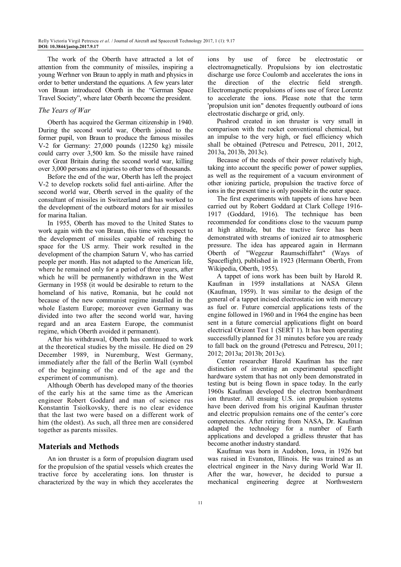The work of the Oberth have attracted a lot of attention from the community of missiles, inspiring a young Werhner von Braun to apply in math and physics in order to better understand the equations. A few years later von Braun introduced Oberth in the "German Space Travel Society", where later Oberth become the president.

### *The Years of War*

Oberth has acquired the German citizenship in 1940. During the second world war, Oberth joined to the former pupil, von Braun to produce the famous missiles V-2 for Germany: 27,000 pounds (12250 kg) missile could carry over 3,500 km. So the missile have rained over Great Britain during the second world war, killing over 3,000 persons and injuries to other tens of thousands.

Before the end of the war, Oberth has left the project V-2 to develop rockets solid fuel anti-airline. After the second world war, Oberth served in the quality of the consultant of missiles in Switzerland and has worked to the development of the outboard motors for air missiles for marina Italian.

In 1955, Oberth has moved to the United States to work again with the von Braun, this time with respect to the development of missiles capable of reaching the space for the US army. Their work resulted in the development of the champion Saturn V, who has carried people per month. Has not adapted to the American life, where he remained only for a period of three years, after which he will be permanently withdrawn in the West Germany in 1958 (it would be desirable to return to the homeland of his native, Romania, but he could not because of the new communist regime installed in the whole Eastern Europe; moreover even Germany was divided into two after the second world war, having regard and an area Eastern Europe, the communist regime, which Oberth avoided it permanent).

After his withdrawal, Oberth has continued to work at the theoretical studies by the missile. He died on 29 December 1989, in Nuremburg, West Germany, immediately after the fall of the Berlin Wall (symbol of the beginning of the end of the age and the experiment of communism).

Although Oberth has developed many of the theories of the early his at the same time as the American engineer Robert Goddard and man of science rus Konstantin Tsiolkovsky, there is no clear evidence that the last two were based on a different work of him (the oldest). As such, all three men are considered together as parents missiles.

# **Materials and Methods**

An ion thruster is a form of propulsion diagram used for the propulsion of the spatial vessels which creates the tractive force by accelerating ions. Ion thruster is characterized by the way in which they accelerates the ions by use of force be electrostatic or electromagnetically. Propulsions by ion electrostatic discharge use force Coulomb and accelerates the ions in the direction of the electric field strength. Electromagnetic propulsions of ions use of force Lorentz to accelerate the ions. Please note that the term 'propulsion unit ion" denotes frequently outboard of ions electrostatic discharge or grid, only.

Pushrod created in ion thruster is very small in comparison with the rocket conventional chemical, but an impulse to the very high, or fuel efficiency which shall be obtained (Petrescu and Petrescu, 2011, 2012, 2013a, 2013b, 2013c).

Because of the needs of their power relatively high, taking into account the specific power of power supplies, as well as the requirement of a vacuum environment of other ionizing particle, propulsion the tractive force of ions in the present time is only possible in the outer space.

The first experiments with tappets of ions have been carried out by Robert Goddard at Clark College 1916- 1917 (Goddard, 1916). The technique has been recommended for conditions close to the vacuum pump at high altitude, but the tractive force has been demonstrated with streams of ionized air to atmospheric pressure. The idea has appeared again in Hermann Oberth of "Wegezur Raumschiffahrt" (Ways of Spaceflight), published in 1923 (Hermann Oberth, From Wikipedia, Oberth, 1955).

A tappet of ions work has been built by Harold R. Kaufman in 1959 installations at NASA Glenn (Kaufman, 1959). It was similar to the design of the general of a tappet incised electrostatic ion with mercury as fuel or. Future comercial applications tests of the engine followed in 1960 and in 1964 the engine has been sent in a future comercial applications flight on board electrical Orizont Test 1 (SERT 1). It has been operating successfully planned for 31 minutes before you are ready to fall back on the ground (Petrescu and Petrescu, 2011; 2012; 2013a; 2013b; 2013c).

Center researcher Harold Kaufman has the rare distinction of inventing an experimental spaceflight hardware system that has not only been demonstrated in testing but is being flown in space today. In the early 1960s Kaufman developed the electron bombardment ion thruster. All ensuing U.S. ion propulsion systems have been derived from his original Kaufman thruster and electric propulsion remains one of the center's core competencies. After retiring from NASA, Dr. Kaufman adapted the technology for a number of Earth applications and developed a gridless thruster that has become another industry standard.

Kaufman was born in Audobon, Iowa, in 1926 but was raised in Evanston, Illinois. He was trained as an electrical engineer in the Navy during World War II. After the war, however, he decided to pursue a mechanical engineering degree at Northwestern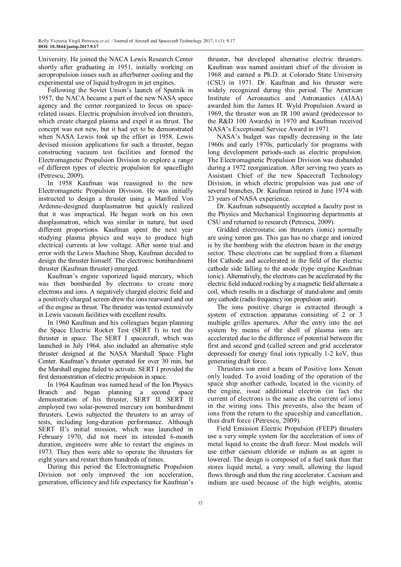University. He joined the NACA Lewis Research Center shortly after graduating in 1951, initially working on aeropropulsion issues such as afterburner cooling and the experimental use of liquid hydrogen in jet engines.

Following the Soviet Union's launch of Sputnik in 1957, the NACA became a part of the new NASA space agency and the center reorganized to focus on spacerelated issues. Electric propulsion involved ion thrusters, which create charged plasma and expel it as thrust. The concept was not new, but it had yet to be demonstrated when NASA Lewis took up the effort in 1958. Lewis devised mission applications for such a thruster, began constructing vacuum test facilities and formed the Electromagnetic Propulsion Division to explore a range of different types of electric propulsion for spaceflight (Petrescu, 2009).

In 1958 Kaufman was reassigned to the new Electromagnetic Propulsion Division. He was initially instructed to design a thruster using a Manfred Von Ardenne-designed duoplasmatron but quickly realized that it was impractical. He began work on his own duoplasmatron, which was similar in nature, but used different proportions. Kaufman spent the next year studying plasma physics and ways to produce high electrical currents at low voltage. After some trial and error with the Lewis Machine Shop, Kaufman decided to design the thruster himself. The electronic bombardment thruster (Kaufman thruster) emerged.

Kaufman's engine vaporized liquid mercury, which was then bombarded by electrons to create more electrons and ions. A negatively charged electric field and a positively charged screen drew the ions rearward and out of the engine as thrust. The thruster was tested extensively in Lewis vacuum facilities with excellent results.

In 1960 Kaufman and his colleagues began planning the Space Electric Rocket Test (SERT I) to test the thruster in space. The SERT I spacecraft, which was launched in July 1964, also included an alternative style thruster designed at the NASA Marshall Space Flight Center. Kaufman's thruster operated for over 30 min, but the Marshall engine failed to activate. SERT I provided the first demonstration of electric propulsion in space.

In 1964 Kaufman was named head of the Ion Physics Branch and began planning a second space demonstration of his thruster, SERT II. SERT II employed two solar-powered mercury ion bombardment thrusters. Lewis subjected the thrusters to an array of tests, including long-duration performance. Although SERT II's initial mission, which was launched in February 1970, did not meet its intended 6-month duration, engineers were able to restart the engines in 1973. They then were able to operate the thrusters for eight years and restart them hundreds of times.

During this period the Electromagnetic Propulsion Division not only improved the ion acceleration, generation, efficiency and life expectancy for Kaufman's

thruster, but developed alternative electric thrusters. Kaufman was named assistant chief of the division in 1968 and earned a Ph.D. at Colorado State University (CSU) in 1971. Dr. Kaufman and his thruster were widely recognized during this period. The American Institute of Aeronautics and Astronautics (AIAA) awarded him the James H. Wyld Propulsion Award in 1969, the thruster won an IR 100 award (predecessor to the R&D 100 Awards) in 1970 and Kaufman received NASA's Exceptional Service Award in 1971.

NASA's budget was rapidly decreasing in the late 1960s and early 1970s, particularly for programs with long development periods-such as electric propulsion. The Electromagnetic Propulsion Division was disbanded during a 1972 reorganization. After serving two years as Assistant Chief of the new Spacecraft Technology Division, in which electric propulsion was just one of several branches, Dr. Kaufman retired in June 1974 with 23 years of NASA experience.

Dr. Kaufman subsequently accepted a faculty post in the Physics and Mechanical Engineering departments at CSU and returned to research (Petrescu, 2009).

Gridded electrostatic ion thrusters (ionic) normally are using xenon gas. This gas has no charge and ionized is by the bombing with the electron beam in the energy sector. These electrons can be supplied from a filament Hot Cathode and accelerated in the field of the electric cathode side falling to the anode (type engine Kaufman ionic). Alternatively, the electrons can be accelerated by the electric field induced rocking by a magnetic field alternate a coil, which results in a discharge of stand-alone and omits any cathode (radio frequency ion propulsion unit).

The ions positive charge is extracted through a system of extraction apparatus consisting of 2 or 3 multiple grilles apertures. After the entry into the net system by means of the shell of plasma ions are accelerated due to the difference of potential between the first and second grid (called screen and grid accelerator depressed) for energy final ions typically 1-2 keV, thus generating draft force.

Thrusters ion emit a beam of Positive Ions Xenon only loaded. To avoid loading of the operation of the space ship another cathode, located in the vicinity of the engine, issue additional electron (in fact the current of electrons is the same as the current of ions) in the wiring ions. This prevents, also the beam of ions from the return to the spaceship and cancellation, thus draft force (Petrescu, 2009).

Field Emission Electric Propulsion (FEEP) thrusters use a very simple system for the acceleration of ions of metal liquid to create the draft force. Most models will use either caesium chloride or indium as an agent is lowered. The design is composed of a fuel tank than that stores liquid metal, a very small, allowing the liquid flows through and then the ring accelerator. Caesium and indium are used because of the high weights, atomic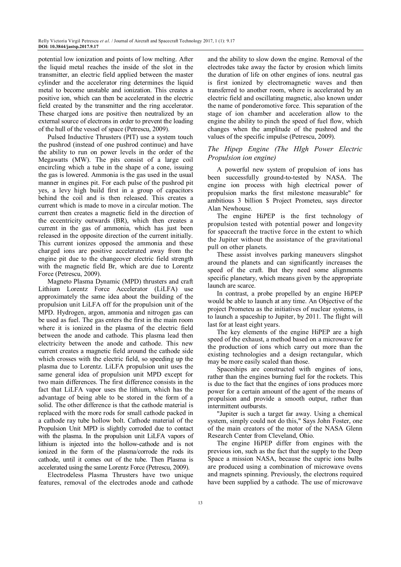potential low ionization and points of low melting. After the liquid metal reaches the inside of the slot in the transmitter, an electric field applied between the master cylinder and the accelerator ring determines the liquid metal to become unstable and ionization. This creates a positive ion, which can then be accelerated in the electric field created by the transmitter and the ring accelerator. These charged ions are positive then neutralized by an external source of electrons in order to prevent the loading of the hull of the vessel of space (Petrescu, 2009).

Pulsed Inductive Thrusters (PIT) use a system touch the pushrod (instead of one pushrod continue) and have the ability to run on power levels in the order of the Megawatts (MW). The pits consist of a large coil encircling which a tube in the shape of a cone, issuing the gas is lowered. Ammonia is the gas used in the usual manner in engines pit. For each pulse of the pushrod pit yes, a levy high build first in a group of capacitors behind the coil and is then released. This creates a current which is made to move in a circular motion. The current then creates a magnetic field in the direction of the eccentricity outwards (BR), which then creates a current in the gas of ammonia, which has just been released in the opposite direction of the current initially. This current ionizes opposed the ammonia and these charged ions are positive accelerated away from the engine pit due to the changeover electric field strength with the magnetic field Br, which are due to Lorentz Force (Petrescu, 2009).

Magneto Plasma Dynamic (MPD) thrusters and craft Lithium Lorentz Force Accelerator (LiLFA) use approximately the same idea about the building of the propulsion unit LiLFA off for the propulsion unit of the MPD. Hydrogen, argon, ammonia and nitrogen gas can be used as fuel. The gas enters the first in the main room where it is ionized in the plasma of the electric field between the anode and cathode. This plasma lead then electricity between the anode and cathode. This new current creates a magnetic field around the cathode side which crosses with the electric field, so speeding up the plasma due to Lorentz. LiLFA propulsion unit uses the same general idea of propulsion unit MPD except for two main differences. The first difference consists in the fact that LiLFA vapor uses the lithium, which has the advantage of being able to be stored in the form of a solid. The other difference is that the cathode material is replaced with the more rods for small cathode packed in a cathode ray tube hollow bolt. Cathode material of the Propulsion Unit MPD is slightly corroded due to contact with the plasma. In the propulsion unit LiLFA vapors of lithium is injected into the hollow-cathode and is not ionized in the form of the plasma/corrode the rods its cathode, until it comes out of the tube. Then Plasma is accelerated using the same Lorentz Force (Petrescu, 2009).

Electrodeless Plasma Thrusters have two unique features, removal of the electrodes anode and cathode and the ability to slow down the engine. Removal of the electrodes take away the factor by erosion which limits the duration of life on other engines of ions. neutral gas is first ionized by electromagnetic waves and then transferred to another room, where is accelerated by an electric field and oscillating magnetic, also known under the name of ponderomotive force. This separation of the stage of ion chamber and acceleration allow to the engine the ability to pinch the speed of fuel flow, which changes when the amplitude of the pushrod and the values of the specific impulse (Petrescu, 2009).

# *The Hipep Engine (The HIgh Power Electric Propulsion ion engine)*

A powerful new system of propulsion of ions has been successfully ground-to-tested by NASA. The engine ion process with high electrical power of propulsion marks the first milestone measurable" for ambitious 3 billion \$ Project Prometeu, says director Alan Newhouse.

The engine HiPEP is the first technology of propulsion tested with potential power and longevity for spacecraft the tractive force in the extent to which the Jupiter without the assistance of the gravitational pull on other planets.

These assist involves parking maneuvers slingshot around the planets and can significantly increases the speed of the craft. But they need some alignments specific planetary, which means given by the appropriate launch are scarce.

In contrast, a probe propelled by an engine HiPEP would be able to launch at any time. An Objective of the project Prometeu as the initiatives of nuclear systems, is to launch a spaceship to Jupiter, by 2011. The flight will last for at least eight years.

The key elements of the engine HiPEP are a high speed of the exhaust, a method based on a microwave for the production of ions which carry out more than the existing technologies and a design rectangular, which may be more easily scaled than those.

Spaceships are constructed with engines of ions, rather than the engines burning fuel for the rockets. This is due to the fact that the engines of ions produces more power for a certain amount of the agent of the means of propulsion and provide a smooth output, rather than intermittent outbursts.

"Jupiter is such a target far away. Using a chemical system, simply could not do this," Says John Foster, one of the main creators of the motor of the NASA Glenn Research Center from Cleveland, Ohio.

The engine HiPEP differ from engines with the previous ion, such as the fact that the supply to the Deep Space a mission NASA, because the cupric ions bulbs are produced using a combination of microwave ovens and magnets spinning. Previously, the electrons required have been supplied by a cathode. The use of microwave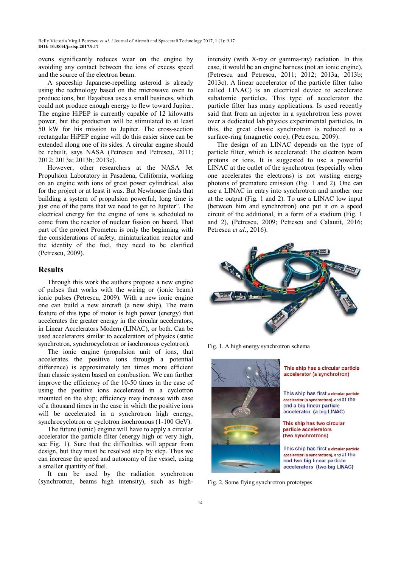ovens significantly reduces wear on the engine by avoiding any contact between the ions of excess speed and the source of the electron beam.

A spaceship Japanese-repelling asteroid is already using the technology based on the microwave oven to produce ions, but Hayabusa uses a small business, which could not produce enough energy to flew toward Jupiter. The engine HiPEP is currently capable of 12 kilowatts power, but the production will be stimulated to at least 50 kW for his mission to Jupiter. The cross-section rectangular HiPEP engine will do this easier since can be extended along one of its sides. A circular engine should be rebuilt, says NASA (Petrescu and Petrescu, 2011; 2012; 2013a; 2013b; 2013c).

However, other researchers at the NASA Jet Propulsion Laboratory in Pasadena, California, working on an engine with ions of great power cylindrical, also for the project or at least it was. But Newhouse finds that building a system of propulsion powerful, long time is just one of the parts that we need to get to Jupiter". The electrical energy for the engine of ions is scheduled to come from the reactor of nuclear fission on board. That part of the project Prometeu is only the beginning with the considerations of safety, miniaturization reactor and the identity of the fuel, they need to be clarified (Petrescu, 2009).

#### **Results**

Through this work the authors propose a new engine of pulses that works with the wiring or (ionic beam) ionic pulses (Petrescu, 2009). With a new ionic engine one can build a new aircraft (a new ship). The main feature of this type of motor is high power (energy) that accelerates the greater energy in the circular accelerators, in Linear Accelerators Modern (LINAC), or both. Can be used accelerators similar to accelerators of physics (static synchrotron, synchrocyclotron or isochronous cyclotron).

The ionic engine (propulsion unit of ions, that accelerates the positive ions through a potential difference) is approximately ten times more efficient than classic system based on combustion. We can further improve the efficiency of the 10-50 times in the case of using the positive ions accelerated in a cyclotron mounted on the ship; efficiency may increase with ease of a thousand times in the case in which the positive ions will be accelerated in a synchrotron high energy, synchrocyclotron or cyclotron isochronous (1-100 GeV).

The future (ionic) engine will have to apply a circular accelerator the particle filter (energy high or very high, see Fig. 1). Sure that the difficulties will appear from design, but they must be resolved step by step. Thus we can increase the speed and autonomy of the vessel, using a smaller quantity of fuel.

It can be used by the radiation synchrotron (synchrotron, beams high intensity), such as highintensity (with X-ray or gamma-ray) radiation. In this case, it would be an engine harness (not an ionic engine), (Petrescu and Petrescu, 2011; 2012; 2013a; 2013b; 2013c). A linear accelerator of the particle filter (also called LINAC) is an electrical device to accelerate subatomic particles. This type of accelerator the particle filter has many applications. Is used recently said that from an injector in a synchrotron less power over a dedicated lab physics experimental particles. In this, the great classic synchrotron is reduced to a surface-ring (magnetic core), (Petrescu, 2009).

The design of an LINAC depends on the type of particle filter, which is accelerated: The electron beam protons or ions. It is suggested to use a powerful LINAC at the outlet of the synchrotron (especially when one accelerates the electrons) is not wasting energy photons of premature emission (Fig. 1 and 2). One can use a LINAC in entry into synchrotron and another one at the output (Fig. 1 and 2). To use a LINAC low input (between him and synchrotron) one put it on a speed circuit of the additional, in a form of a stadium (Fig. 1 and 2), (Petrescu, 2009; Petrescu and Calautit, 2016; Petrescu *et al*., 2016).



Fig. 1. A high energy synchrotron schema



This ship has a circular particle accelerator (a synchrotron)

This ship has first a circular particle accelerator (a synchrotron), and at the end a big linear particle accelerator (a big LINAC)

This ship has two circular particle accelerators (two synchrotrons)

This ship has first a circular particle accelerator (a synchrotron), and at the end two big linear particle accelerators (two big LINAC)

Fig. 2. Some flying synchrotron prototypes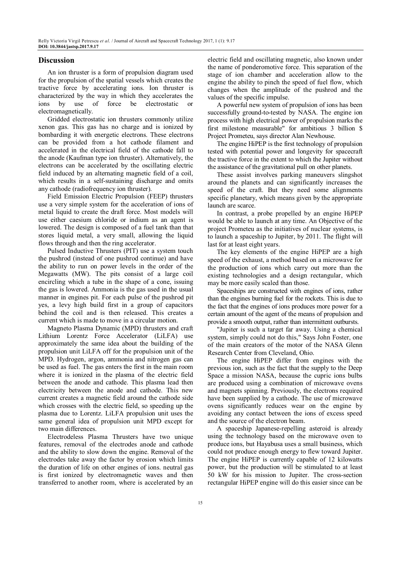## **Discussion**

An ion thruster is a form of propulsion diagram used for the propulsion of the spatial vessels which creates the tractive force by accelerating ions. Ion thruster is characterized by the way in which they accelerates the ions by use of force be electrostatic electromagnetically.

Gridded electrostatic ion thrusters commonly utilize xenon gas. This gas has no charge and is ionized by bombarding it with energetic electrons. These electrons can be provided from a hot cathode filament and accelerated in the electrical field of the cathode fall to the anode (Kaufman type ion thruster). Alternatively, the electrons can be accelerated by the oscillating electric field induced by an alternating magnetic field of a coil, which results in a self-sustaining discharge and omits any cathode (radiofrequency ion thruster).

Field Emission Electric Propulsion (FEEP) thrusters use a very simple system for the acceleration of ions of metal liquid to create the draft force. Most models will use either caesium chloride or indium as an agent is lowered. The design is composed of a fuel tank than that stores liquid metal, a very small, allowing the liquid flows through and then the ring accelerator.

Pulsed Inductive Thrusters (PIT) use a system touch the pushrod (instead of one pushrod continue) and have the ability to run on power levels in the order of the Megawatts (MW). The pits consist of a large coil encircling which a tube in the shape of a cone, issuing the gas is lowered. Ammonia is the gas used in the usual manner in engines pit. For each pulse of the pushrod pit yes, a levy high build first in a group of capacitors behind the coil and is then released. This creates a current which is made to move in a circular motion.

Magneto Plasma Dynamic (MPD) thrusters and craft Lithium Lorentz Force Accelerator (LiLFA) use approximately the same idea about the building of the propulsion unit LiLFA off for the propulsion unit of the MPD. Hydrogen, argon, ammonia and nitrogen gas can be used as fuel. The gas enters the first in the main room where it is ionized in the plasma of the electric field between the anode and cathode. This plasma lead then electricity between the anode and cathode. This new current creates a magnetic field around the cathode side which crosses with the electric field, so speeding up the plasma due to Lorentz. LiLFA propulsion unit uses the same general idea of propulsion unit MPD except for two main differences.

Electrodeless Plasma Thrusters have two unique features, removal of the electrodes anode and cathode and the ability to slow down the engine. Removal of the electrodes take away the factor by erosion which limits the duration of life on other engines of ions. neutral gas is first ionized by electromagnetic waves and then transferred to another room, where is accelerated by an electric field and oscillating magnetic, also known under the name of ponderomotive force. This separation of the stage of ion chamber and acceleration allow to the engine the ability to pinch the speed of fuel flow, which changes when the amplitude of the pushrod and the values of the specific impulse.

A powerful new system of propulsion of ions has been successfully ground-to-tested by NASA. The engine ion process with high electrical power of propulsion marks the first milestone measurable" for ambitious 3 billion \$ Project Prometeu, says director Alan Newhouse.

The engine HiPEP is the first technology of propulsion tested with potential power and longevity for spacecraft the tractive force in the extent to which the Jupiter without the assistance of the gravitational pull on other planets.

These assist involves parking maneuvers slingshot around the planets and can significantly increases the speed of the craft. But they need some alignments specific planetary, which means given by the appropriate launch are scarce.

In contrast, a probe propelled by an engine HiPEP would be able to launch at any time. An Objective of the project Prometeu as the initiatives of nuclear systems, is to launch a spaceship to Jupiter, by 2011. The flight will last for at least eight years.

The key elements of the engine HiPEP are a high speed of the exhaust, a method based on a microwave for the production of ions which carry out more than the existing technologies and a design rectangular, which may be more easily scaled than those.

Spaceships are constructed with engines of ions, rather than the engines burning fuel for the rockets. This is due to the fact that the engines of ions produces more power for a certain amount of the agent of the means of propulsion and provide a smooth output, rather than intermittent outbursts.

"Jupiter is such a target far away. Using a chemical system, simply could not do this," Says John Foster, one of the main creators of the motor of the NASA Glenn Research Center from Cleveland, Ohio.

The engine HiPEP differ from engines with the previous ion, such as the fact that the supply to the Deep Space a mission NASA, because the cupric ions bulbs are produced using a combination of microwave ovens and magnets spinning. Previously, the electrons required have been supplied by a cathode. The use of microwave ovens significantly reduces wear on the engine by avoiding any contact between the ions of excess speed and the source of the electron beam.

A spaceship Japanese-repelling asteroid is already using the technology based on the microwave oven to produce ions, but Hayabusa uses a small business, which could not produce enough energy to flew toward Jupiter. The engine HiPEP is currently capable of 12 kilowatts power, but the production will be stimulated to at least 50 kW for his mission to Jupiter. The cross-section rectangular HiPEP engine will do this easier since can be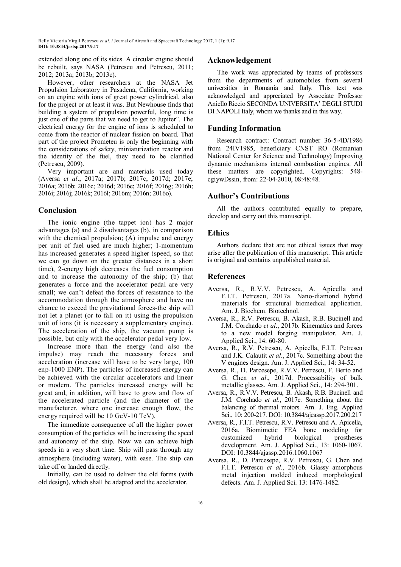extended along one of its sides. A circular engine should be rebuilt, says NASA (Petrescu and Petrescu, 2011; 2012; 2013a; 2013b; 2013c).

However, other researchers at the NASA Jet Propulsion Laboratory in Pasadena, California, working on an engine with ions of great power cylindrical, also for the project or at least it was. But Newhouse finds that building a system of propulsion powerful, long time is just one of the parts that we need to get to Jupiter". The electrical energy for the engine of ions is scheduled to come from the reactor of nuclear fission on board. That part of the project Prometeu is only the beginning with the considerations of safety, miniaturization reactor and the identity of the fuel, they need to be clarified (Petrescu, 2009).

Very important are and materials used today (Aversa *et al*., 2017a; 2017b; 2017c; 2017d; 2017e; 2016a; 2016b; 2016c; 2016d; 2016e; 2016f; 2016g; 2016h; 2016i; 2016j; 2016k; 2016l; 2016m; 2016n; 2016o).

# **Conclusion**

The ionic engine (the tappet ion) has 2 major advantages (a) and 2 disadvantages (b), in comparison with the chemical propulsion; (A) impulse and energy per unit of fuel used are much higher; 1-momentum has increased generates a speed higher (speed, so that we can go down on the greater distances in a short time), 2-energy high decreases the fuel consumption and to increase the autonomy of the ship; (b) that generates a force and the accelerator pedal are very small; we can't defeat the forces of resistance to the accommodation through the atmosphere and have no chance to exceed the gravitational forces-the ship will not let a planet (or to fall on it) using the propulsion unit of ions (it is necessary a supplementary engine). The acceleration of the ship, the vacuum pump is possible, but only with the accelerator pedal very low.

Increase more than the energy (and also the impulse) may reach the necessary forces and acceleration (increase will have to be very large, 100 enp-1000 ENP). The particles of increased energy can be achieved with the circular accelerators and linear or modern. The particles increased energy will be great and, in addition, will have to grow and flow of the accelerated particle (and the diameter of the manufacturer, where one increase enough flow, the energy required will be 10 GeV-10 TeV).

The immediate consequence of all the higher power consumption of the particles will be increasing the speed and autonomy of the ship. Now we can achieve high speeds in a very short time. Ship will pass through any atmosphere (including water), with ease. The ship can take off or landed directly.

Initially, can be used to deliver the old forms (with old design), which shall be adapted and the accelerator.

## **Acknowledgement**

The work was appreciated by teams of professors from the departments of automobiles from several universities in Romania and Italy. This text was acknowledged and appreciated by Associate Professor Aniello Riccio SECONDA UNIVERSITA' DEGLI STUDI DI NAPOLI Italy, whom we thanks and in this way.

# **Funding Information**

Research contract: Contract number 36-5-4D/1986 from 24IV1985, beneficiary CNST RO (Romanian National Center for Science and Technology) Improving dynamic mechanisms internal combustion engines. All these matters are copyrighted. Copyrights: 548 cgiywDssin, from: 22-04-2010, 08:48:48.

## **Author's Contributions**

All the authors contributed equally to prepare, develop and carry out this manuscript.

## **Ethics**

Authors declare that are not ethical issues that may arise after the publication of this manuscript. This article is original and contains unpublished material.

# **References**

- Aversa, R., R.V.V. Petrescu, A. Apicella and F.I.T. Petrescu, 2017a. Nano-diamond hybrid materials for structural biomedical application. Am. J. Biochem. Biotechnol.
- Aversa, R., R.V. Petrescu, B. Akash, R.B. Bucinell and J.M. Corchado *et al*., 2017b. Kinematics and forces to a new model forging manipulator. Am. J. Applied Sci., 14: 60-80.
- Aversa, R., R.V. Petrescu, A. Apicella, F.I.T. Petrescu and J.K. Calautit *et al*., 2017c. Something about the V engines design. Am. J. Applied Sci., 14: 34-52.
- Aversa, R., D. Parcesepe, R.V.V. Petrescu, F. Berto and G. Chen *et al*., 2017d. Processability of bulk metallic glasses. Am. J. Applied Sci., 14: 294-301.
- Aversa, R., R.V.V. Petrescu, B. Akash, R.B. Bucinell and J.M. Corchado *et al*., 2017e. Something about the balancing of thermal motors. Am. J. Eng. Applied Sci., 10: 200-217. DOI: 10.3844/ajeassp.2017.200.217
- Aversa, R., F.I.T. Petrescu, R.V. Petrescu and A. Apicella, 2016a. Biomimetic FEA bone modeling for customized hybrid biological prostheses development. Am. J. Applied Sci., 13: 1060-1067. DOI: 10.3844/ajassp.2016.1060.1067
- Aversa, R., D. Parcesepe, R.V. Petrescu, G. Chen and F.I.T. Petrescu *et al*., 2016b. Glassy amorphous metal injection molded induced morphological defects. Am. J. Applied Sci. 13: 1476-1482.